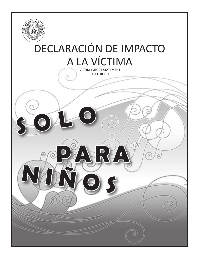

# Declaración de impacto a la víctima

VICTIM IMPACT STATEMENT JUST FOR KIDS

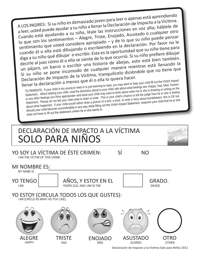<sup>A</sup> LOS PADRES: Si su niño es demasiado joven para leer o apenas está aprendiendo a leer, usted puede ayudar a su niño a llenar la Declaración de Impacto a la Víctima. Cuando esté ayudando a su niño, léale las instrucciones en voz alta; háblele de lo que son los sentimientos – Alegre, Triste, Enojado, Asustado o cualquier otro sentimiento que usted considere apropiado – y de lo que su niño puede pensar cuando él o ella está dibujando o escribiendo en la declaración. Por favor no le diga a su niño qué dibujar o escribir. Esta es la oportunidad que su niño tiene para decirle al juez cómo él o ella se siente de lo que ocurrió. Si su niño prefiere dibujar un pájaro, un barco o escribir una historia de abejas, esto está bien también. Si su niño se pone incomodo de cualquier manera mientras está llenando la Declaración de Impacto de la Víctima, tranquilícelo diciéndole que no tiene que llenar la declaración a menos que él o ella lo quiera hacer.

TO PARENTS: If your child is too young to read or is just learning to read, you may want to help your child fill out the Victim Impact Statement. When helping your child, read the directions aloud to your child; talk about what feelings are–Happy, Sad, Mad, Scared, or any other feelings you think appropriate–and what your child may want to think about when he or she is drawing or writing on the Statement. Please do not tell your child what to draw or write. This is your child's chance to tell the judge how he or she is feeling about what happened. If your child would rather draw a picture of a bird, a boat, or write a story about bumblebees, this is OK too. Should your child become uncomfortable in any way while filling out the Victim Impact Statement, reassure your child that he or she does not have to fill out the statement unless he or she wants to.

# Declaración de Impacto a la Víctima SOLO PARA niñoS

YO SOY LA VÍCTIMA DE ÉSTE CRIMEN: SÍ I AM THE VICTIM OF THIS CRIME:

**NO** 

mi nombre es:

MY NAME IS:

Yo tenGo I AM

añoS, Y ESTOY EN EL YEARS OLD, AND I AM IN THE

GRADO. GRADE.

## YO ESTOY (CIRCULA TODOS LOS QUE GUSTES):

I AM (CIRCLE AS MANY AS YOU LIKE):



Declaración de Impacto a la Víctima Solo para Niños 2011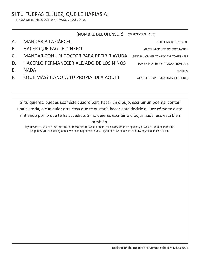## SI TU FUERAS EL JUEZ, QUE LE HARÍAS A:

IF YOU WERE THE JUDGE, WHAT WOULD YOU DO TO:

|    | (NOMBRE DEL OFENSOR)                    | (OFFENDER'S NAME)                       |
|----|-----------------------------------------|-----------------------------------------|
| А. | <b>MANDAR A LA CÁRCEL</b>               | SEND HIM OR HER TO JAIL                 |
| В. | <b>HACER QUE PAGUE DINERO</b>           | MAKE HIM OR HER PAY SOME MONEY          |
| C. | MANDAR CON UN DOCTOR PARA RECIBIR AYUDA | SEND HIM OR HER TO A DOCTOR TO GET HELP |
| D. | HACERLO PERMANECER ALEJADO DE LOS NIÑOS | MAKE HIM OR HER STAY AWAY FROM KIDS     |
| Е. | <b>NADA</b>                             | NOTHING                                 |
| F. | ¿QUE MÁS? (¡ANOTA TU PROPIA IDEA AQUI!) | WHAT ELSE? (PUT YOUR OWN IDEA HERE!)    |
|    |                                         |                                         |

Si tú quieres, puedes usar éste cuadro para hacer un dibujo, escribir un poema, contar una historia, o cualquier otra cosa que te gustaría hacer para decirle al juez cómo te estas sintiendo por lo que te ha sucedido. Si no quieres escribir o dibujar nada, eso está bien también.

If you want to, you can use this box to draw a picture, write a poem, tell a story, or anything else you would like to do to tell the judge how you are feeling about what has happened to you. If you don't want to write or draw anything, that's OK too.